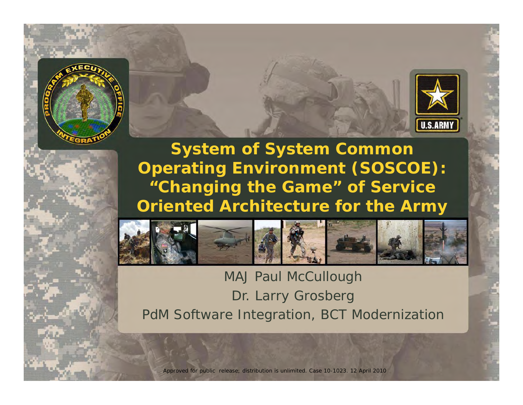



**System of System Common 0perating Environment (SOSCOE): "Changing the Game" of Service Oriented Architecture for the Army**



MAJ Paul McCullough Dr. Larry Grosberg PdM Software Integration, BCT Modernization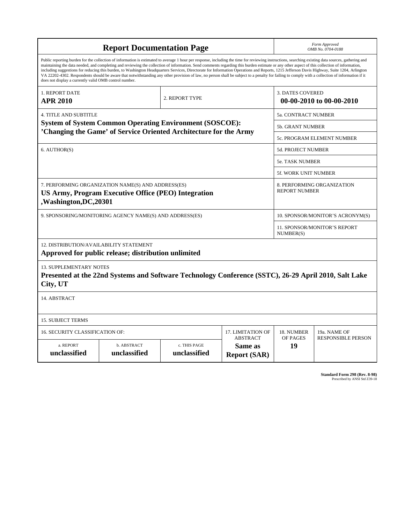| <b>Report Documentation Page</b>                                                                                                                                                                                                                                                                                                                                                                                                                                                                                                                                                                                                                                                                                                                                                                                                                                   |                                                                                                      |                              |                                                   |                                                     | Form Approved<br>OMB No. 0704-0188 |  |  |  |  |
|--------------------------------------------------------------------------------------------------------------------------------------------------------------------------------------------------------------------------------------------------------------------------------------------------------------------------------------------------------------------------------------------------------------------------------------------------------------------------------------------------------------------------------------------------------------------------------------------------------------------------------------------------------------------------------------------------------------------------------------------------------------------------------------------------------------------------------------------------------------------|------------------------------------------------------------------------------------------------------|------------------------------|---------------------------------------------------|-----------------------------------------------------|------------------------------------|--|--|--|--|
| Public reporting burden for the collection of information is estimated to average 1 hour per response, including the time for reviewing instructions, searching existing data sources, gathering and<br>maintaining the data needed, and completing and reviewing the collection of information. Send comments regarding this burden estimate or any other aspect of this collection of information,<br>including suggestions for reducing this burden, to Washington Headquarters Services, Directorate for Information Operations and Reports, 1215 Jefferson Davis Highway, Suite 1204, Arlington<br>VA 22202-4302. Respondents should be aware that notwithstanding any other provision of law, no person shall be subject to a penalty for failing to comply with a collection of information if it<br>does not display a currently valid OMB control number. |                                                                                                      |                              |                                                   |                                                     |                                    |  |  |  |  |
| 1. REPORT DATE<br><b>APR 2010</b>                                                                                                                                                                                                                                                                                                                                                                                                                                                                                                                                                                                                                                                                                                                                                                                                                                  |                                                                                                      | 2. REPORT TYPE               |                                                   | <b>3. DATES COVERED</b><br>00-00-2010 to 00-00-2010 |                                    |  |  |  |  |
| <b>4. TITLE AND SUBTITLE</b>                                                                                                                                                                                                                                                                                                                                                                                                                                                                                                                                                                                                                                                                                                                                                                                                                                       |                                                                                                      |                              |                                                   |                                                     | <b>5a. CONTRACT NUMBER</b>         |  |  |  |  |
| <b>System of System Common Operating Environment (SOSCOE):</b><br>'Changing the Game' of Service Oriented Architecture for the Army                                                                                                                                                                                                                                                                                                                                                                                                                                                                                                                                                                                                                                                                                                                                |                                                                                                      |                              |                                                   |                                                     | 5b. GRANT NUMBER                   |  |  |  |  |
|                                                                                                                                                                                                                                                                                                                                                                                                                                                                                                                                                                                                                                                                                                                                                                                                                                                                    |                                                                                                      |                              |                                                   |                                                     | 5c. PROGRAM ELEMENT NUMBER         |  |  |  |  |
| 6. AUTHOR(S)                                                                                                                                                                                                                                                                                                                                                                                                                                                                                                                                                                                                                                                                                                                                                                                                                                                       |                                                                                                      |                              |                                                   |                                                     | <b>5d. PROJECT NUMBER</b>          |  |  |  |  |
|                                                                                                                                                                                                                                                                                                                                                                                                                                                                                                                                                                                                                                                                                                                                                                                                                                                                    |                                                                                                      |                              |                                                   |                                                     | <b>5e. TASK NUMBER</b>             |  |  |  |  |
|                                                                                                                                                                                                                                                                                                                                                                                                                                                                                                                                                                                                                                                                                                                                                                                                                                                                    |                                                                                                      |                              |                                                   |                                                     | 5f. WORK UNIT NUMBER               |  |  |  |  |
| 7. PERFORMING ORGANIZATION NAME(S) AND ADDRESS(ES)<br><b>US Army, Program Executive Office (PEO) Integration</b><br>,Washington,DC,20301                                                                                                                                                                                                                                                                                                                                                                                                                                                                                                                                                                                                                                                                                                                           |                                                                                                      |                              |                                                   | 8. PERFORMING ORGANIZATION<br><b>REPORT NUMBER</b>  |                                    |  |  |  |  |
| 9. SPONSORING/MONITORING AGENCY NAME(S) AND ADDRESS(ES)                                                                                                                                                                                                                                                                                                                                                                                                                                                                                                                                                                                                                                                                                                                                                                                                            |                                                                                                      |                              | 10. SPONSOR/MONITOR'S ACRONYM(S)                  |                                                     |                                    |  |  |  |  |
|                                                                                                                                                                                                                                                                                                                                                                                                                                                                                                                                                                                                                                                                                                                                                                                                                                                                    |                                                                                                      |                              |                                                   | <b>11. SPONSOR/MONITOR'S REPORT</b><br>NUMBER(S)    |                                    |  |  |  |  |
| 12. DISTRIBUTION/AVAILABILITY STATEMENT                                                                                                                                                                                                                                                                                                                                                                                                                                                                                                                                                                                                                                                                                                                                                                                                                            | Approved for public release; distribution unlimited                                                  |                              |                                                   |                                                     |                                    |  |  |  |  |
| <b>13. SUPPLEMENTARY NOTES</b><br>City, UT                                                                                                                                                                                                                                                                                                                                                                                                                                                                                                                                                                                                                                                                                                                                                                                                                         | Presented at the 22nd Systems and Software Technology Conference (SSTC), 26-29 April 2010, Salt Lake |                              |                                                   |                                                     |                                    |  |  |  |  |
| 14. ABSTRACT                                                                                                                                                                                                                                                                                                                                                                                                                                                                                                                                                                                                                                                                                                                                                                                                                                                       |                                                                                                      |                              |                                                   |                                                     |                                    |  |  |  |  |
| <b>15. SUBJECT TERMS</b>                                                                                                                                                                                                                                                                                                                                                                                                                                                                                                                                                                                                                                                                                                                                                                                                                                           |                                                                                                      |                              |                                                   |                                                     |                                    |  |  |  |  |
| 16. SECURITY CLASSIFICATION OF:                                                                                                                                                                                                                                                                                                                                                                                                                                                                                                                                                                                                                                                                                                                                                                                                                                    |                                                                                                      | 17. LIMITATION OF            | 18. NUMBER                                        | 19a. NAME OF                                        |                                    |  |  |  |  |
| a. REPORT<br>unclassified                                                                                                                                                                                                                                                                                                                                                                                                                                                                                                                                                                                                                                                                                                                                                                                                                                          | b. ABSTRACT<br>unclassified                                                                          | c. THIS PAGE<br>unclassified | <b>ABSTRACT</b><br>Same as<br><b>Report (SAR)</b> | OF PAGES<br>19                                      | <b>RESPONSIBLE PERSON</b>          |  |  |  |  |

**Standard Form 298 (Rev. 8-98)**<br>Prescribed by ANSI Std Z39-18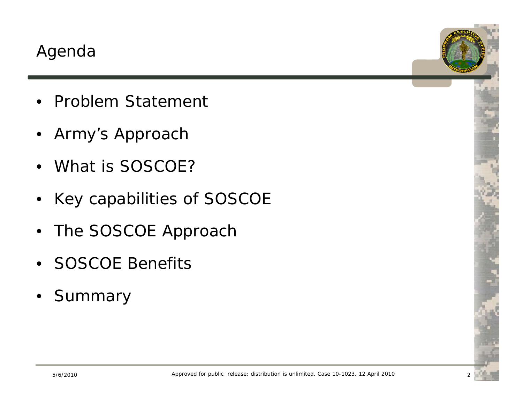- Problem Statement
- Army's Approach
- What is SOSCOE?
- $\bullet$ Key capabilities of SOSCOE
- $\bullet$ The SOSCOE Approach
- SOSCOE Benefits
- $\bullet$ Summary

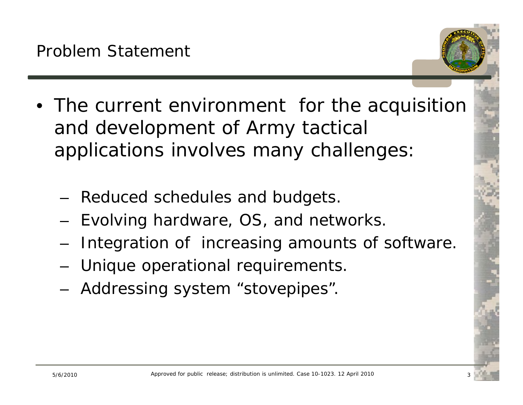- The current environment for the acquisition and development of Army tactical applications involves many challenges:
	- Reduced schedules and budgets.
	- Evolving hardware, OS, and networks.
	- Integration of increasing amounts of software.
	- Unique operational requirements.
	- Addressing system "stovepipes".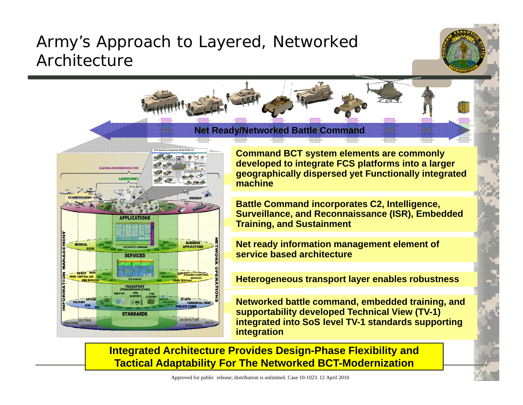# Army's Approach to Layered, Networked Architecture

**Platforms**

**Platforms**

**Platforms**

**Applications Applications Applications Applications Applications Platforms** $N$ et Ready/Networked Battle Comm<mark>and</mark> **Standards**

**Platforms**

**Standards**



**Command BCT system elements are commonly developed to integrate FCS platforms into a larger**  geographically dispersed yet Functionally integrated<br>machine

**Platforms**

**Standards**

**Platforms**

**Standards**

**Platforms**

**Standards**

**Alp**ulications **Platforms**

> **Transport Services**

**Battle Command incorporates C2, Intelligence, Surveillance, and Reconnaissance (ISR), Embedded Training, and Sustainment g,**

**Net ready information management element of service based architecture**

**Heterogeneous transport** layer enables robustness

**Networked battle command, embedded training, and supportability developed Technical View (TV-1) integrated into SoS level TV-1 standards supporting i t ti integration**

**Integrated Architecture Provides Design-Phase Flexibility and Tactical Adaptability For The Networked BCT-Modernization**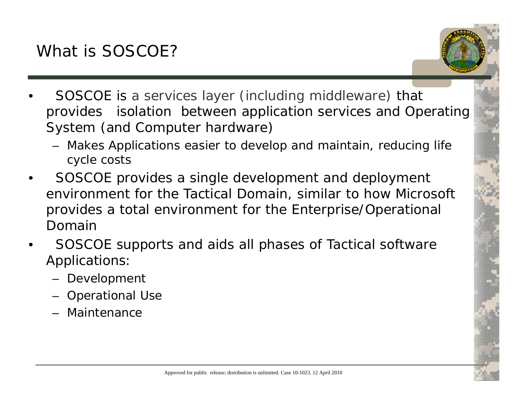

- • SOSCOE is a services layer (including middleware) that provides isolation between application services and Operating System (and Computer hardware)
	- Makes Applications easier to develop and maintain, reducing life cycle costs
- • SOSCOE provides a single development and deployment environment for the Tactical Domain, similar to how Microsoft provides a total environment for the Enterprise/Operational Domain
- • SOSCOE supports and aids all phases of Tactical software Applications:
	- Development
	- Operational Use
	- Maintenance

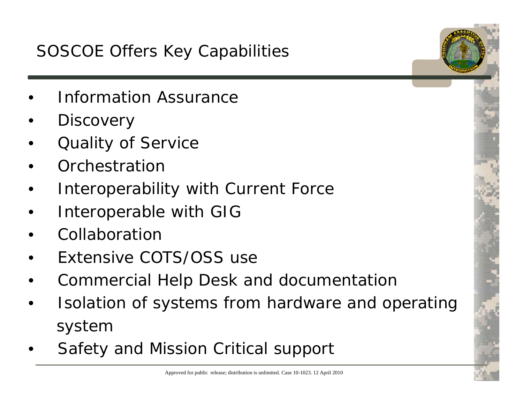# SOSCOE Offers Key Capabilities

- •Information Assurance
- •**Discovery**
- •Quality of Service
- •Orchestration
- •Interoperability with Current Force
- •Interoperable with GIG
- •Collaboration
- •Extensive COTS/OSS use
- •Commercial Help Desk and documentation
- • Isolation of systems from hardware and operating system
- •Safety and Mission Critical support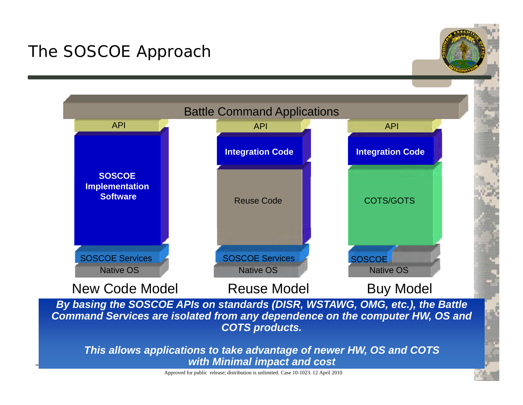# The SOSCOE Approach



*By basing the SOSCOE APIs on standards (DISR, WSTAWG, OMG, etc.), the Battle Command Services are isolated from any dependence on the computer HW, OS and COTS products.*

*This allows applications to take advantage of newer HW, OS and COTS with Minimal impact and cost*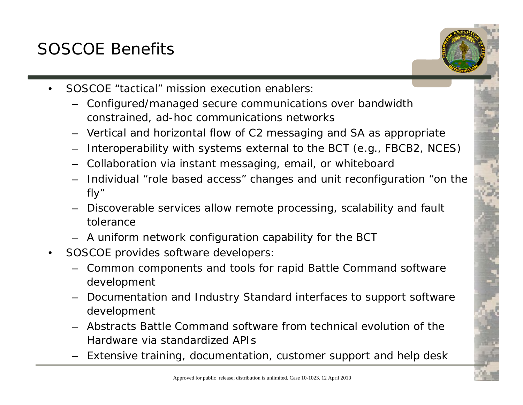# SOSCOE Benefits



- Configured/managed secure communications over bandwidth constrained, ad-hoc communications networks
- Vertical and horizontal flow of C2 messaging and SA as appropriate
- Interoperability with systems external to the BCT (e.g., FBCB2, NCES)
- Collaboration via instant messaging, email, or whiteboard
- Individual " role based access" changes and unit reconfiguration "on the fly"
- Discoverable services allow remote processing, scalability and fault tolerance
- A uniform network configuration capability for the BCT
- • SOSCOE provides software developers:
	- Common components and tools for rapid Battle Command software development
	- Documentation and Industry Standard interfaces to support software development
	- Abstracts Battle Command software from technical evolution of the Hardware via standardized APIs
	- Extensive training, documentation, customer support and help desk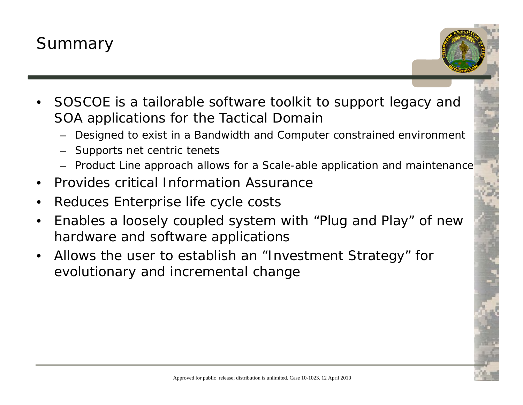

- • SOSCOE is a tailorable software toolkit to support legacy and SOA applications for the Tactical Domain
	- Designed to exist in a Bandwidth and Computer constrained environment
	- Supports net centric tenets
	- Product Line approach allows for a Scale-able application and maintenance
- •Provides critical Information Assurance
- •Reduces Enterprise life cycle costs
- •Enables a loosely coupled system with "Plug and Play" of new hardware and software applications
- • Allows the user to establish an "Investment Strategy" for evolutionary and incremental change

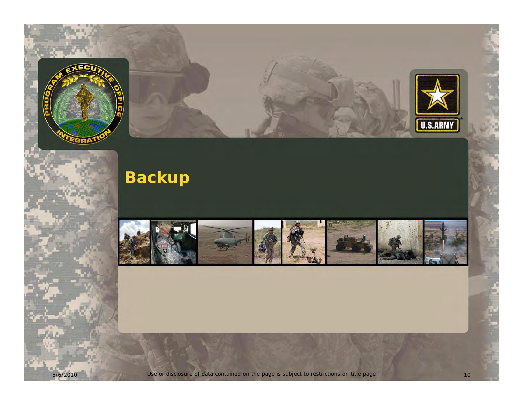

5/6/2010

As p



**Backup**



Use or disclosure of data contained on the page is subject to restrictions on title page 10 10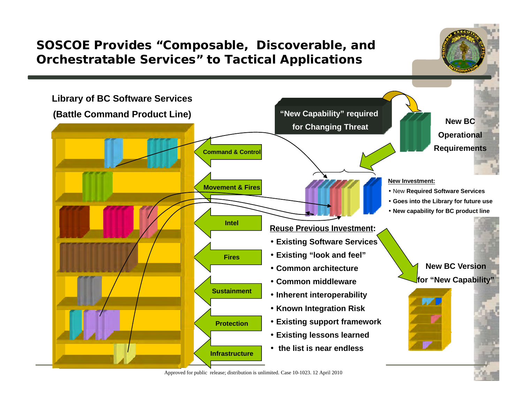

Approved for public release; distribution is unlimited. Case 10-1023. 12 April 2010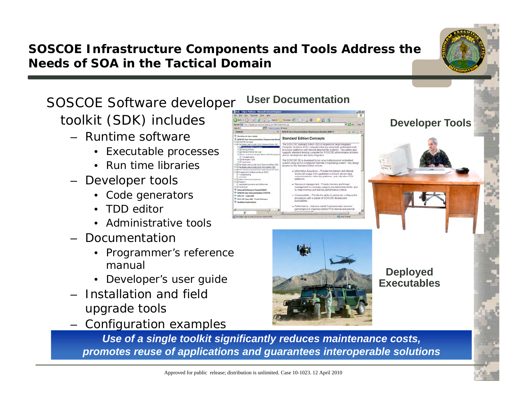## **SOSCOE Infrastructure Components and Tools Address the Needs of SOA in the Tactical Domain**

SOSCOE Software developer

- Runtime software
	- Executable processes
	- Run time libraries
- Developer tools
	- Code generators
	- $\bullet$ TDD editor
	- Administrative tools
- – Documentation
	- Programmer's reference manual
	-
- – Installation and field upgrade tools
- –- Configuration examples



**User Documentation**



**Executables**

**Developer Tools** 

**Use of a single toolkit significantly reduces maintenance costs,** *promotes reuse of applications and guarantees interoperable solutions*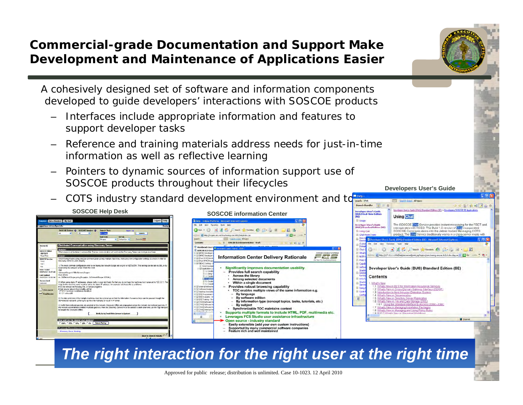### **Commercial-grade Documentation and Support Make Development and Maintenance of Applications Easier**

A cohesively designed set of software and information components developed to guide developers' interactions with SOSCOE products

- – Interfaces include appropriate information and features to support developer tasks
- – Reference and training materials address needs for just-in-time information as well as reflective learning
- –Pointers to dynamic sources of information support use of SOSCOE products throu ghout their lifecycles
- –COTS industry standard development environment and to



**Developers User's Guide**

*The right interaction for the right user at the right time*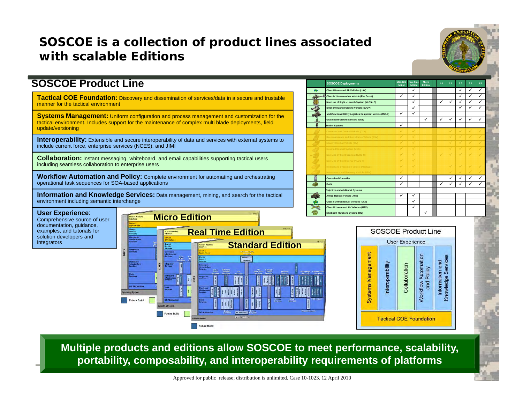#### **SOSCOE is a collection of product lines associated with scalable Editions**



#### **SOSCOE Product Line**

**Tactical COE Foundation:** Discovery and dissemination of services/data in a secure and trustable manner for the tactical environment

**Systems Management:** Uniform configuration and process management and customization for the tactical environment. Includes support for the maintenance of complex multi blade deployments, field **Tactical COE Foundation:** Discovery and dissemination of services/data in a secure and trustable<br> **Experiment** for the tactical environment. Includes support for the maintenance of complex multi blade deployments, field<br> update/versioning

include current force, enterprise services (NCES), and JIMI

**Collaboration:** Instant messaging, whiteboard, and email capabilities supporting tactical users including seamless collaboration to enterprise users

**Workflow Automation and Policy:** Complete environment for automating and orchestrating operational task sequences for SOA-based applications

**Information and Knowledge Services:** Data management, mining, and search for the tactical environment including semantic interchange

|      | <b>SOSCOE Deployments</b>                                  | Standard<br>Edition | <b>Real-time</b><br>Edition | Micro<br>Edition | 1.8          | 2.0          | 2.5          | 3.0          | 3.5          |  |
|------|------------------------------------------------------------|---------------------|-----------------------------|------------------|--------------|--------------|--------------|--------------|--------------|--|
| 秉    | Class I Unmanned Air Vehicles (UAV)                        |                     | ✓                           |                  |              |              | ✓            | ✓            | ✓            |  |
| دمدد | <b>Class IV Unmanned Air Vehicle (Fire Scout)</b>          | ✓                   | ✓                           |                  |              |              | ✓            | ✓            | ✓            |  |
|      | Non Line of Sight - Launch System (NLOS-LS)                |                     | ✓                           |                  | ✓            | ✓            | ✓            | ✓            | ✓            |  |
| ×    | Small Unmanned Ground Vehicle (SUGV)                       |                     | $\checkmark$                |                  |              |              | ✓            | ✓            | $\checkmark$ |  |
|      | Multifunctional Utility Logistics Equipment Vehicle (MULE) |                     | ✓                           |                  |              |              |              |              |              |  |
|      | <b>Unattended Ground Sensors (UGS)</b>                     |                     |                             | ✓                | ✓            | ✓            | ✓            | ✓            | ✓            |  |
| 屬    | <b>Soldier Systems</b>                                     | ✓                   |                             |                  |              |              |              |              |              |  |
|      | Command and Control Vehicle (C2V)                          | ✓                   | $\checkmark$                |                  |              | ✓            | ✓            | ✓            |              |  |
|      | Reconnaissance and Surveillance Vehicle (RSV)              | ✓                   | $\checkmark$                |                  |              | ✓            | $\checkmark$ | $\checkmark$ | $\checkmark$ |  |
|      | Infantry Combat Vehicle (ICV)                              | $\checkmark$        | $\checkmark$                |                  |              | ✓            | ✓            | ✓            | $\checkmark$ |  |
|      | Mounted Combat System (MCS)                                | ✓                   | $\checkmark$                |                  |              | $\checkmark$ | $\checkmark$ | ✓            | $\checkmark$ |  |
|      | Non-Line-Of-Sight Cannon (NLOS-C)                          | ✓                   | $\checkmark$                |                  | $\checkmark$ | $\checkmark$ | √            | ✓            | $\checkmark$ |  |
|      | Non-Line-Of-Sight Mortar (NLOS-M)                          | ✓                   | $\checkmark$                |                  |              |              |              |              |              |  |
|      | Medical and Evacuation Vehicle (MedEvac)                   | ✓                   | $\checkmark$                |                  |              | $\checkmark$ | $\checkmark$ | ✓            | ✓            |  |
|      | Maintenance and Recovery Vehicle (MRV)                     | ✓                   | $\checkmark$                |                  |              | J            | ✓            | J            | U            |  |
|      | <b>Centralized Controller</b>                              | ✓                   |                             |                  |              | $\checkmark$ | ✓            | ✓            | ✓            |  |
|      | <b>B-Kit</b>                                               | ✓                   |                             |                  | ✓            | $\checkmark$ | $\checkmark$ | $\checkmark$ | ✓            |  |
|      | <b>Objective and Additional Systems</b>                    |                     |                             |                  |              |              |              |              |              |  |
|      | <b>Armed Robotic Vehicle (ARV)</b>                         | ✓                   | ✓                           |                  |              |              |              |              |              |  |
| A    | <b>Class II Unmanned Air Vehicles (UAV)</b>                |                     | ✓                           |                  |              |              |              |              |              |  |
|      | Class III Unmanned Air Vehicles (UAV)                      |                     | ✓                           |                  |              |              |              |              |              |  |
|      | <b>Intelligent Munitions System (IMS)</b>                  |                     |                             | ✓                |              |              |              |              |              |  |
|      |                                                            |                     |                             |                  |              |              |              |              |              |  |

 **User Experience**: Comprehensive source of user documentation, guidance, examples, and tutorials for solution developers and integrators





**Multiple products and editions allow SOSCOE to meet performance, scalability, portability, composability, and interoperability requirements of platforms**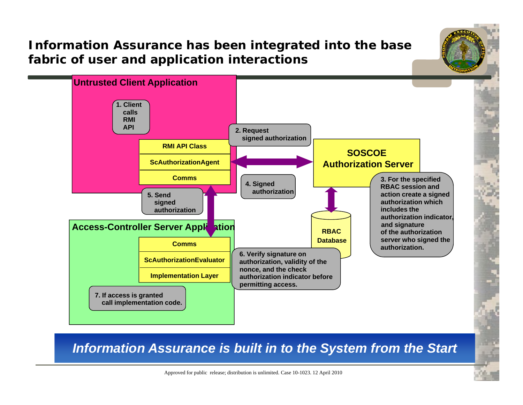### **Information Assurance has been integrated into the base fabric of user and application interactions**



*Information Assurance is built in to the System from the Start*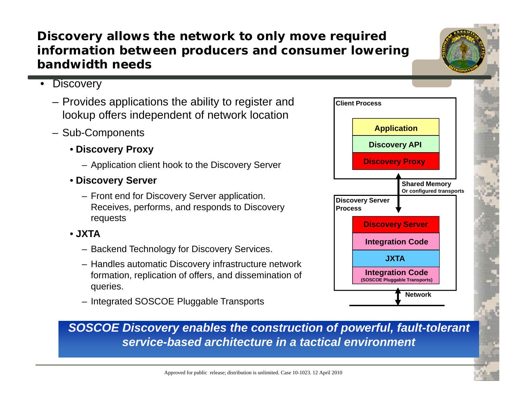- requests **Discover**
- **JXTA**
	- Backend Technology for Discovery Services.
	- Handles automatic Discovery infrastructure network formation, replication of offers, and dissemination of **COLO BILITY COLOGE Pluggable Transports** queries.
	- Integrated SOSCOE Pluggable Transports

#### **Discovery allows the network to only move required information between producers and consumer lowering bandwidth needs**

- Discovery
	- Provides applications the ability to register and lookup offers independent of network location
	- Sub-Components
		- **Discovery Proxy**
			- Application client hook to the Discovery Server
		- Discovery Server
			- Front end for Discovery Server application. Receives, performs, and responds to Discovery
				-
			-

**SOSCOE Discovery enables the construction of powerful, fault-tolerant** *service-based architecture in a tactical environment*



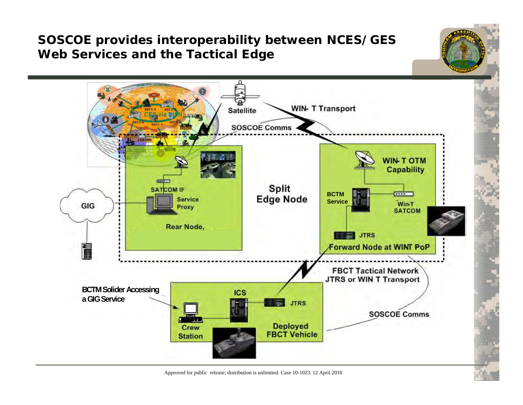### **SOSCOE provides interoperability between NCES/GES Web Services and the Tactical Edge**



Approved for public release; distribution is unlimited. Case 10-1023. 12 April 2010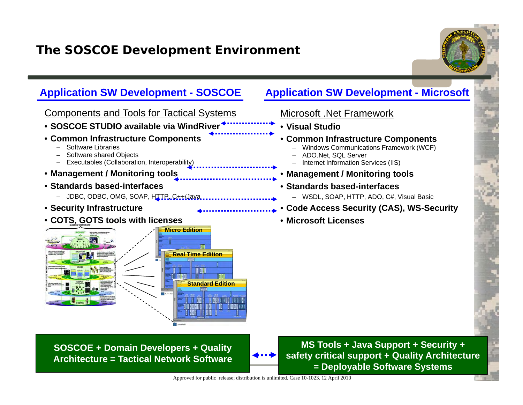### **The SOSCOE Development Environment**



#### **Application SW Development - SOSCOE Application SW Development - Microsoft**



**SOSCOE + Domain Developers + Quality Architecture = Tactical Network Software**

**MS Tools + Java Support + Security + safety critical support + Quality Architecture = Deployable Software Systems**

Microsoft .Net Framework

ADO.Net, SQL Server

• **Standards based-interfaces**

• **Microsoft Licenses**

–

–

–

•

• **Common Infrastructure Components**

Internet Information Services (IIS)

Windows Communications Framework (WCF)

– WSDL, SOAP, HTTP, ADO, C#, Visual Basic

**Code Access Security (CAS), WS-Security**